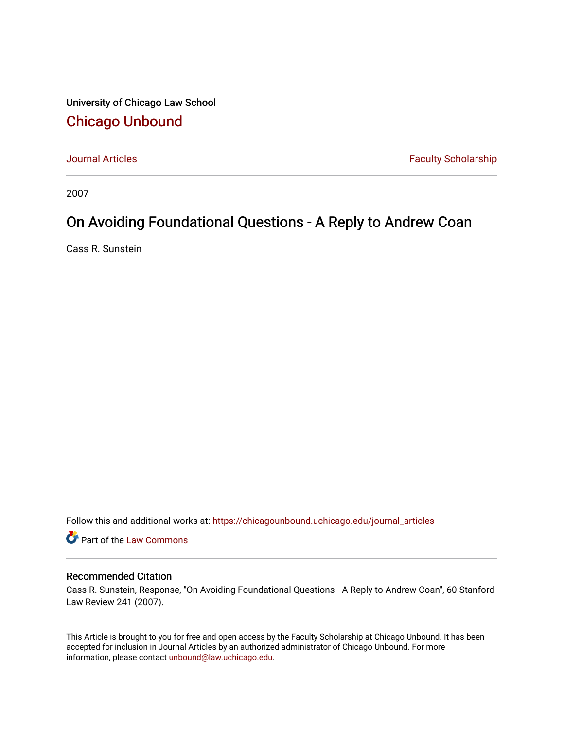University of Chicago Law School [Chicago Unbound](https://chicagounbound.uchicago.edu/)

[Journal Articles](https://chicagounbound.uchicago.edu/journal_articles) **Faculty Scholarship Faculty Scholarship** 

2007

# On Avoiding Foundational Questions - A Reply to Andrew Coan

Cass R. Sunstein

Follow this and additional works at: [https://chicagounbound.uchicago.edu/journal\\_articles](https://chicagounbound.uchicago.edu/journal_articles?utm_source=chicagounbound.uchicago.edu%2Fjournal_articles%2F8480&utm_medium=PDF&utm_campaign=PDFCoverPages) 

Part of the [Law Commons](http://network.bepress.com/hgg/discipline/578?utm_source=chicagounbound.uchicago.edu%2Fjournal_articles%2F8480&utm_medium=PDF&utm_campaign=PDFCoverPages)

#### Recommended Citation

Cass R. Sunstein, Response, "On Avoiding Foundational Questions - A Reply to Andrew Coan", 60 Stanford Law Review 241 (2007).

This Article is brought to you for free and open access by the Faculty Scholarship at Chicago Unbound. It has been accepted for inclusion in Journal Articles by an authorized administrator of Chicago Unbound. For more information, please contact [unbound@law.uchicago.edu](mailto:unbound@law.uchicago.edu).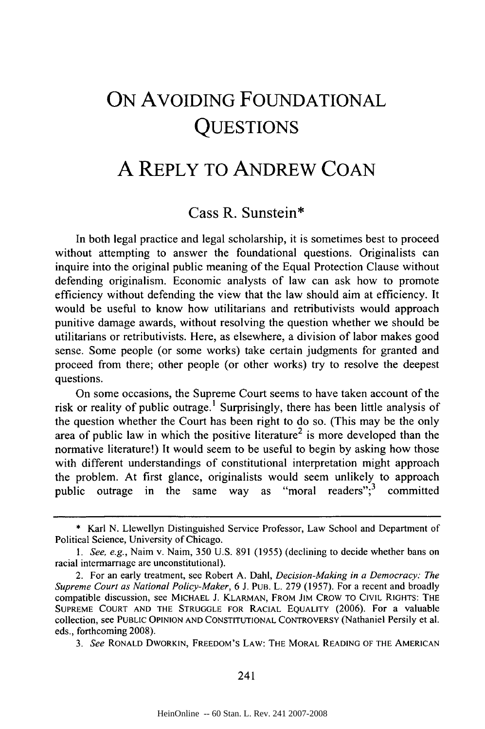# **ON** AVOIDING **FOUNDATIONAL QUESTIONS**

# **A** REPLY TO **ANDREW COAN**

### Cass R. Sunstein\*

In both legal practice and legal scholarship, it is sometimes best to proceed without attempting to answer the foundational questions. Originalists can inquire into the original public meaning of the Equal Protection Clause without defending originalism. Economic analysts of law can ask how to promote efficiency without defending the view that the law should aim at efficiency. It would be useful to know how utilitarians and retributivists would approach punitive damage awards, without resolving the question whether we should be utilitarians or retributivists. Here, as elsewhere, a division of labor makes good sense. Some people (or some works) take certain judgments for granted and proceed from there; other people (or other works) try to resolve the deepest questions.

On some occasions, the Supreme Court seems to have taken account of the risk or reality of public outrage.<sup>1</sup> Surprisingly, there has been little analysis of the question whether the Court has been right to do so. (This may be the only area of public law in which the positive literature<sup>2</sup> is more developed than the normative literature!) It would seem to be useful to begin by asking how those with different understandings of constitutional interpretation might approach the problem. At first glance, originalists would seem unlikely to approach public outrage in the same way as "moral readers"; $3$  committed

#### 241

<sup>\*</sup> Karl N. Llewellyn Distinguished Service Professor, Law School and Department of Political Science, University of Chicago.

*<sup>1.</sup> See, e.g.,* Naim v. Naim, 350 U.S. 891 (1955) (declining to decide whether bans on racial intermarriage are unconstitutional).

<sup>2.</sup> For an early treatment, see Robert A. Dahl, *Decision-Making in a Democracy: The Supreme Court as National Policy-Maker,* 6 J. **PUB.** L. 279 (1957). For a recent and broadly compatible discussion, see **MICHAEL** J. KLARMAN, FROM **JIM** CROW TO CIVIL RIGHTS: THE **SUPREME COURT** AND THE **STRUGGLE** FOR **RACIAL EQUALITY** (2006). For a valuable collection, see **PUBLIC OPINION AND CONSTITUTIONAL** CONTROVERSY (Nathaniel Persily et al. eds., forthcoming 2008).

*<sup>3.</sup> See* RONALD DWORKIN, FREEDOM'S LAW: THE MORAL **READING** OF THE **AMERICAN**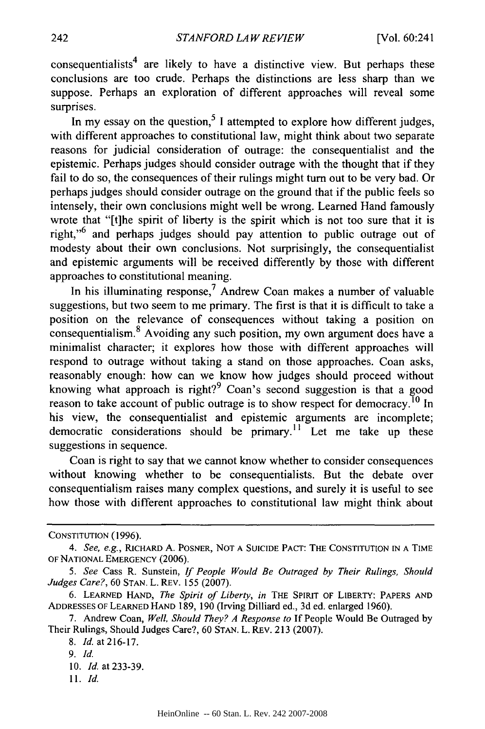consequentialists<sup>4</sup> are likely to have a distinctive view. But perhaps these conclusions are too crude. Perhaps the distinctions are less sharp than we suppose. Perhaps an exploration of different approaches will reveal some surprises.

In my essay on the question,<sup>5</sup> I attempted to explore how different judges, with different approaches to constitutional law, might think about two separate reasons for judicial consideration of outrage: the consequentialist and the epistemic. Perhaps judges should consider outrage with the thought that if they fail to do so, the consequences of their rulings might turn out to be very bad. Or perhaps judges should consider outrage on the ground that if the public feels so intensely, their own conclusions might well be wrong. Learned Hand famously wrote that "[t]he spirit of liberty is the spirit which is not too sure that it is right,"<sup>6</sup> and perhaps judges should pay attention to public outrage out of modesty about their own conclusions. Not surprisingly, the consequentialist and epistemic arguments will be received differently by those with different approaches to constitutional meaning.

In his illuminating response,<sup>7</sup> Andrew Coan makes a number of valuable suggestions, but two seem to me primary. The first is that it is difficult to take a position on the relevance of consequences without taking a position on consequentialism. 8 Avoiding any such position, my own argument does have a minimalist character; it explores how those with different approaches will respond to outrage without taking a stand on those approaches. Coan asks, reasonably enough: how can we know how judges should proceed without knowing what approach is right?<sup>9</sup> Coan's second suggestion is that a good reason to take account of public outrage is to show respect for democracy.<sup>10</sup> In his view, the consequentialist and epistemic arguments are incomplete; democratic considerations should be primary.<sup>11</sup> Let me take up these suggestions in sequence.

Coan is right to say that we cannot know whether to consider consequences without knowing whether to be consequentialists. But the debate over consequentialism raises many complex questions, and surely it is useful to see how those with different approaches to constitutional law might think about

CONSTITUTION **(1996).**

<sup>4.</sup> See, e.g., RICHARD A. POSNER, **NOT** A SUICIDE PACT: THE CONSTITUTION IN A TIME OF NATIONAL EMERGENCY (2006).

*<sup>5.</sup> See* Cass R. Sunstein, *If People Would Be Outraged by Their Rulings, Should Judges Care?,* 60 **STAN.** L. REv. 155 (2007).

<sup>6.</sup> **LEARNED HAND,** *The Spirit of Liberty, in* THE SPIRIT OF LIBERTY: PAPERS **AND ADDRESSES** OF **LEARNED HAND** 189, 190 (Irving Dilliard ed., 3d ed. enlarged 1960).

<sup>7.</sup> Andrew Coan, *Well, Should They? A Response to* If People Would Be Outraged by Their Rulings, Should Judges Care?, 60 STAN. L. REv. 213 (2007).

<sup>8.</sup> *Id.* at 216-17.

*<sup>9.</sup> Id.*

<sup>10.</sup> *Id.* at233-39.

*<sup>11.</sup> Id.*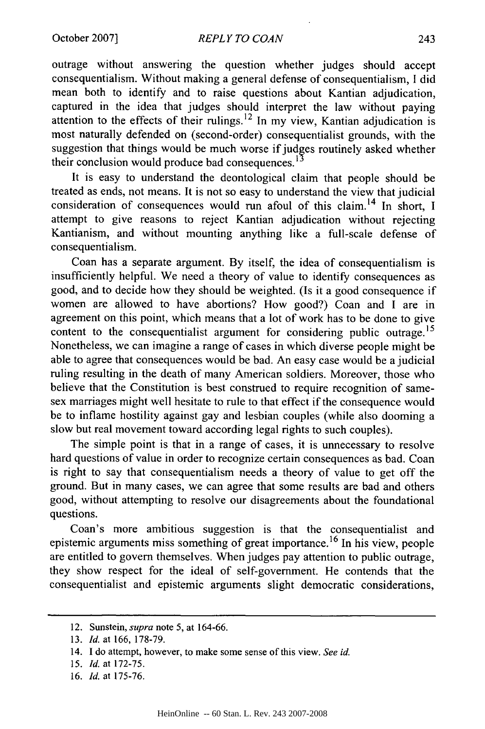outrage without answering the question whether judges should accept consequentialism. Without making a general defense of consequentialism, I did mean both to identify and to raise questions about Kantian adjudication, captured in the idea that judges should interpret the law without paying attention to the effects of their rulings. 12 In my view, Kantian adjudication is most naturally defended on (second-order) consequentialist grounds, with the suggestion that things would be much worse if judges routinely asked whether their conclusion would produce bad consequences.<sup>13</sup>

It is easy to understand the deontological claim that people should be treated as ends, not means. It is not so easy to understand the view that judicial consideration of consequences would run afoul of this claim. 14 In short, I attempt to give reasons to reject Kantian adjudication without rejecting Kantianism, and without mounting anything like a full-scale defense of consequentialism.

Coan has a separate argument. By itself, the idea of consequentialism is insufficiently helpful. We need a theory of value to identify consequences as good, and to decide how they should be weighted. (Is it a good consequence if women are allowed to have abortions? How good?) Coan and I are in agreement on this point, which means that a lot of work has to be done to give content to the consequentialist argument for considering public outrage.<sup>15</sup> Nonetheless, we can imagine a range of cases in which diverse people might be able to agree that consequences would be bad. An easy case would be a judicial ruling resulting in the death of many American soldiers. Moreover, those who believe that the Constitution is best construed to require recognition of samesex marriages might well hesitate to rule to that effect if the consequence would be to inflame hostility against gay and lesbian couples (while also dooming a slow but real movement toward according legal rights to such couples).

The simple point is that in a range of cases, it is unnecessary to resolve hard questions of value in order to recognize certain consequences as bad. Coan is right to say that consequentialism needs a theory of value to get off the ground. But in many cases, we can agree that some results are bad and others good, without attempting to resolve our disagreements about the foundational questions.

Coan's more ambitious suggestion is that the consequentialist and epistemic arguments miss something of great importance.<sup>16</sup> In his view, people are entitled to govern themselves. When judges pay attention to public outrage, they show respect for the ideal of self-government. He contends that the consequentialist and epistemic arguments slight democratic considerations,

<sup>12.</sup> Sunstein, *supra* note 5, at 164-66.

<sup>13.</sup> *Id.* at 166, 178-79.

<sup>14.</sup> I do attempt, however, to make some sense of this view. *See id.*

*<sup>15.</sup> Id.* at 172-75.

<sup>16.</sup> *Id.* at 175-76.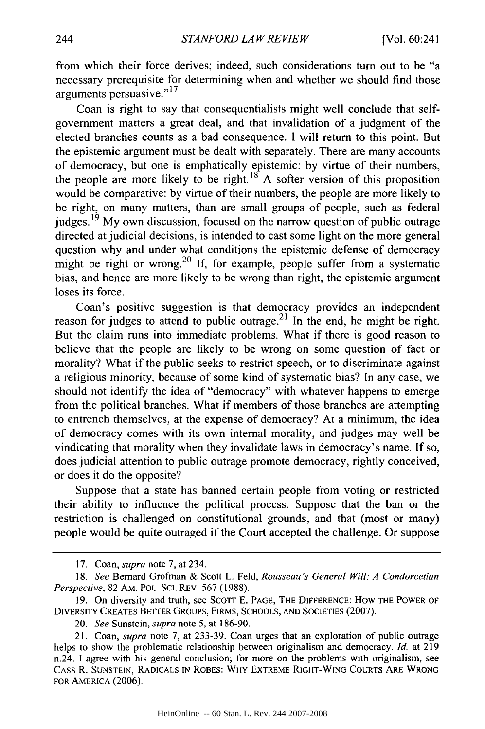from which their force derives; indeed, such considerations turn out to be "a necessary prerequisite for determining when and whether we should find those arguments persuasive." **<sup>17</sup>**

Coan is right to say that consequentialists might well conclude that selfgovernment matters a great deal, and that invalidation of a judgment of the elected branches counts as a bad consequence. I will return to this point. But the epistemic argument must be dealt with separately. There are many accounts of democracy, but one is emphatically epistemic: by virtue of their numbers, the people are more likely to be right.<sup>18</sup> A softer version of this proposition would be comparative: by virtue of their numbers, the people are more likely to be right, on many matters, than are small groups of people, such as federal judges.<sup>19</sup> My own discussion, focused on the narrow question of public outrage directed at judicial decisions, is intended to cast some light on the more general question why and under what conditions the epistemic defense of democracy might be right or wrong.<sup>20</sup> If, for example, people suffer from a systematic bias, and hence are more likely to be wrong than right, the epistemic argument loses its force.

Coan's positive suggestion is that democracy provides an independent reason for judges to attend to public outrage.<sup>21</sup> In the end, he might be right. But the claim runs into immediate problems. What if there is good reason to believe that the people are likely to be wrong on some question of fact or morality? What if the public seeks to restrict speech, or to discriminate against a religious minority, because of some kind of systematic bias? In any case, we should not identify the idea of "democracy" with whatever happens to emerge from the political branches. What if members of those branches are attempting to entrench themselves, at the expense of democracy? At a minimum, the idea of democracy comes with its own internal morality, and judges may well be vindicating that morality when they invalidate laws in democracy's name. If so, does judicial attention to public outrage promote democracy, rightly conceived, or does it do the opposite?

Suppose that a state has banned certain people from voting or restricted their ability to influence the political process. Suppose that the ban or the restriction is challenged on constitutional grounds, and that (most or many) people would be quite outraged if the Court accepted the challenge. Or suppose

<sup>17.</sup> Coan, *supra* note 7, at 234.

*<sup>18.</sup> See* Bernard Grofman & Scott L. Feld, *Rousseau's General Will: A Condorcetian Perspective,* 82 AM. POL. ScI. REV. 567 (1988).

<sup>19.</sup> On diversity and truth, see SCOTT E. PAGE, THE DIFFERENCE: HOW THE POWER OF DIVERSITY CREATES BETTER GROUPS, FIRMS, SCHOOLS, AND **SOCIETIES** (2007).

<sup>20.</sup> *See* Sunstein, *supra* note 5, at 186-90.

<sup>21.</sup> Coan, *supra* note 7, at 233-39. Coan urges that an exploration of public outrage helps to show the problematic relationship between originalism and democracy. *Id.* at 219 n.24. I agree with his general conclusion; for more on the problems with originalism, see CASS R. **SUNSTEIN,** RADICALS **IN** ROBES: WHY EXTREME RIGHT-WING COURTS ARE WRONG FOR AMERICA (2006).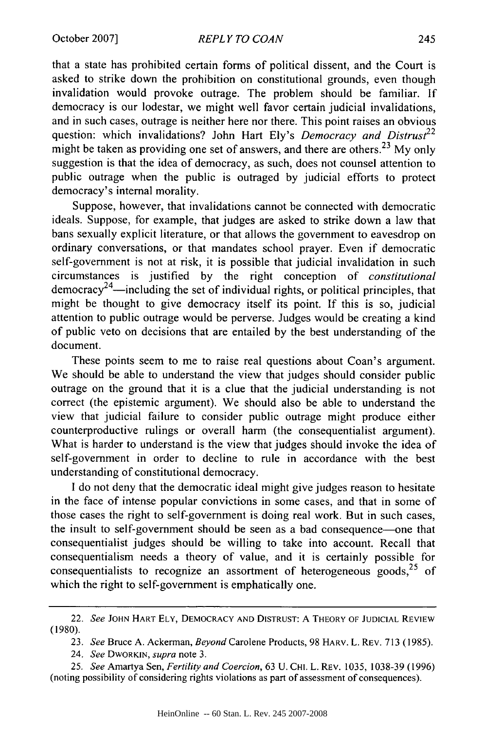that a state has prohibited certain forms of political dissent, and the Court is asked to strike down the prohibition on constitutional grounds, even though invalidation would provoke outrage. The problem should be familiar. If democracy is our lodestar, we might well favor certain judicial invalidations, and in such cases, outrage is neither here nor there. This point raises an obvious question: which invalidations? John Hart Ely's *Democracy and Distrust*<sup>22</sup> might be taken as providing one set of answers, and there are others.<sup>23</sup> My only suggestion is that the idea of democracy, as such, does not counsel attention to public outrage when the public is outraged by judicial efforts to protect democracy's internal morality.

Suppose, however, that invalidations cannot be connected with democratic ideals. Suppose, for example, that judges are asked to strike down a law that bans sexually explicit literature, or that allows the government to eavesdrop on ordinary conversations, or that mandates school prayer. Even if democratic self-government is not at risk, it is possible that judicial invalidation in such circumstances is justified by the right conception of *constitutional*  $democracy<sup>24</sup>$ —including the set of individual rights, or political principles, that might be thought to give democracy itself its point. If this is so, judicial attention to public outrage would be perverse. Judges would be creating a kind of public veto on decisions that are entailed by the best understanding of the document.

These points seem to me to raise real questions about Coan's argument. We should be able to understand the view that judges should consider public outrage on the ground that it is a clue that the judicial understanding is not correct (the epistemic argument). We should also be able to understand the view that judicial failure to consider public outrage might produce either counterproductive rulings or overall harm (the consequentialist argument). What is harder to understand is the view that judges should invoke the idea of self-government in order to decline to rule in accordance with the best understanding of constitutional democracy.

I do not deny that the democratic ideal might give judges reason to hesitate in the face of intense popular convictions in some cases, and that in some of those cases the right to self-government is doing real work. But in such cases, the insult to self-government should be seen as a bad consequence-one that consequentialist judges should be willing to take into account. Recall that consequentialism needs a theory of value, and it is certainly possible for consequentialists to recognize an assortment of heterogeneous goods,<sup>25</sup> of which the right to self-government is emphatically one.

<sup>22.</sup> *See* **JOHN** HART ELY, DEMOCRACY **AND** DISTRUST: **A** THEORY OF **JUDICIAL** REVIEW (1980).

<sup>23.</sup> *See* Bruce A. Ackerman, *Beyond* Carolene Products, 98 HARV. L. REV. 713 (1985).

<sup>24.</sup> *See* DWORKIN, *supra* note 3.

<sup>25.</sup> *See* Amartya Sen, *Fertility and Coercion,* 63 U. CHI. L. REV. 1035, 1038-39 (1996) (noting possibility of considering rights violations as part of assessment of consequences).